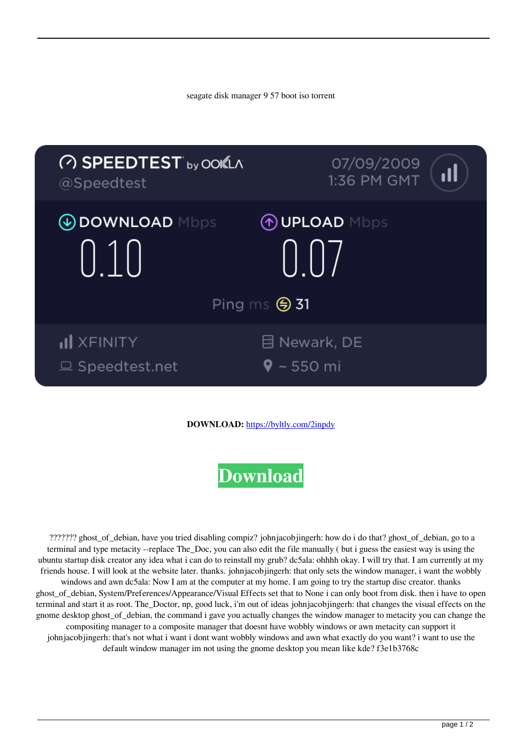seagate disk manager 9 57 boot iso torrent



## **DOWNLOAD:** <https://byltly.com/2inpdy>

## **[Download](https://byltly.com/2inpdy)**

 ??????? ghost\_of\_debian, have you tried disabling compiz? johnjacobjingerh: how do i do that? ghost\_of\_debian, go to a terminal and type metacity --replace The\_Doc, you can also edit the file manually ( but i guess the easiest way is using the ubuntu startup disk creator any idea what i can do to reinstall my grub? dc5ala: ohhhh okay. I will try that. I am currently at my friends house. I will look at the website later. thanks. johnjacobjingerh: that only sets the window manager, i want the wobbly windows and awn dc5ala: Now I am at the computer at my home. I am going to try the startup disc creator. thanks ghost\_of\_debian, System/Preferences/Appearance/Visual Effects set that to None i can only boot from disk. then i have to open terminal and start it as root. The\_Doctor, np, good luck, i'm out of ideas johnjacobjingerh: that changes the visual effects on the gnome desktop ghost of debian, the command i gave you actually changes the window manager to metacity you can change the compositing manager to a composite manager that doesnt have wobbly windows or awn metacity can support it johnjacobjingerh: that's not what i want i dont want wobbly windows and awn what exactly do you want? i want to use the default window manager im not using the gnome desktop you mean like kde? f3e1b3768c